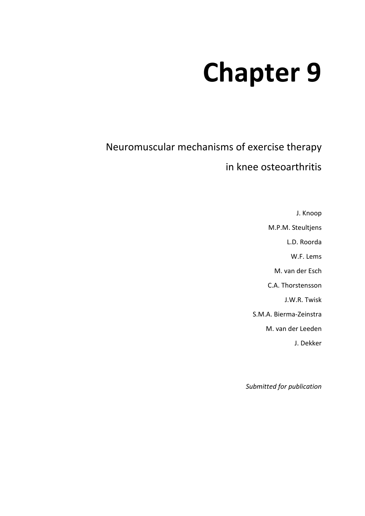# **Chapter 9**

Neuromuscular mechanisms of exercise therapy

in knee osteoarthritis

J. Knoop M.P.M. Steultjens L.D. Roorda W.F. Lems M. van der Esch C.A. Thorstensson J.W.R. Twisk S.M.A. Bierma-Zeinstra M. van der Leeden J. Dekker

*Submitted for publication*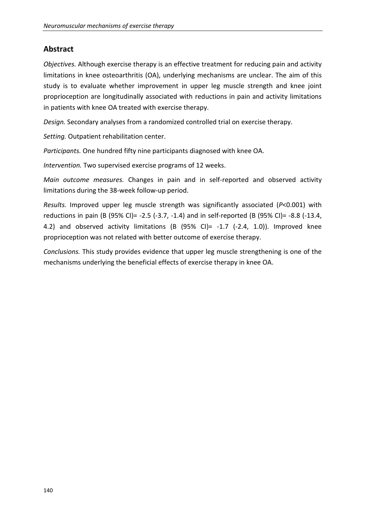# **Abstract**

*Objectives.* Although exercise therapy is an effective treatment for reducing pain and activity limitations in knee osteoarthritis (OA), underlying mechanisms are unclear. The aim of this study is to evaluate whether improvement in upper leg muscle strength and knee joint proprioception are longitudinally associated with reductions in pain and activity limitations in patients with knee OA treated with exercise therapy.

*Design.* Secondary analyses from a randomized controlled trial on exercise therapy.

*Setting.* Outpatient rehabilitation center.

*Participants.* One hundred fifty nine participants diagnosed with knee OA.

*Intervention.* Two supervised exercise programs of 12 weeks.

*Main outcome measures.* Changes in pain and in self-reported and observed activity limitations during the 38-week follow-up period.

*Results.* Improved upper leg muscle strength was significantly associated (*P*<0.001) with reductions in pain (B (95% CI)= -2.5 (-3.7, -1.4) and in self-reported (B (95% CI)= -8.8 (-13.4, 4.2) and observed activity limitations (B  $(95\%$  CI)= -1.7 (-2.4, 1.0)). Improved knee proprioception was not related with better outcome of exercise therapy.

*Conclusions.* This study provides evidence that upper leg muscle strengthening is one of the mechanisms underlying the beneficial effects of exercise therapy in knee OA.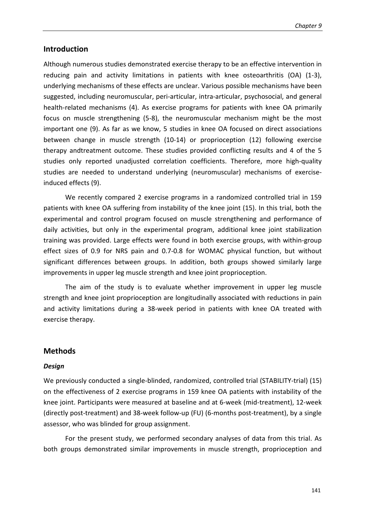# **Introduction**

Although numerous studies demonstrated exercise therapy to be an effective intervention in reducing pain and activity limitations in patients with knee osteoarthritis (OA) (1-3), underlying mechanisms of these effects are unclear. Various possible mechanisms have been suggested, including neuromuscular, peri-articular, intra-articular, psychosocial, and general health-related mechanisms (4). As exercise programs for patients with knee OA primarily focus on muscle strengthening (5-8), the neuromuscular mechanism might be the most important one (9). As far as we know, 5 studies in knee OA focused on direct associations between change in muscle strength (10-14) or proprioception (12) following exercise therapy andtreatment outcome. These studies provided conflicting results and 4 of the 5 studies only reported unadjusted correlation coefficients. Therefore, more high-quality studies are needed to understand underlying (neuromuscular) mechanisms of exerciseinduced effects (9).

We recently compared 2 exercise programs in a randomized controlled trial in 159 patients with knee OA suffering from instability of the knee joint (15). In this trial, both the experimental and control program focused on muscle strengthening and performance of daily activities, but only in the experimental program, additional knee joint stabilization training was provided. Large effects were found in both exercise groups, with within-group effect sizes of 0.9 for NRS pain and 0.7-0.8 for WOMAC physical function, but without significant differences between groups. In addition, both groups showed similarly large improvements in upper leg muscle strength and knee joint proprioception.

The aim of the study is to evaluate whether improvement in upper leg muscle strength and knee joint proprioception are longitudinally associated with reductions in pain and activity limitations during a 38-week period in patients with knee OA treated with exercise therapy.

# **Methods**

# *Design*

We previously conducted a single-blinded, randomized, controlled trial (STABILITY-trial) (15) on the effectiveness of 2 exercise programs in 159 knee OA patients with instability of the knee joint. Participants were measured at baseline and at 6-week (mid-treatment), 12-week (directly post-treatment) and 38-week follow-up (FU) (6-months post-treatment), by a single assessor, who was blinded for group assignment.

For the present study, we performed secondary analyses of data from this trial. As both groups demonstrated similar improvements in muscle strength, proprioception and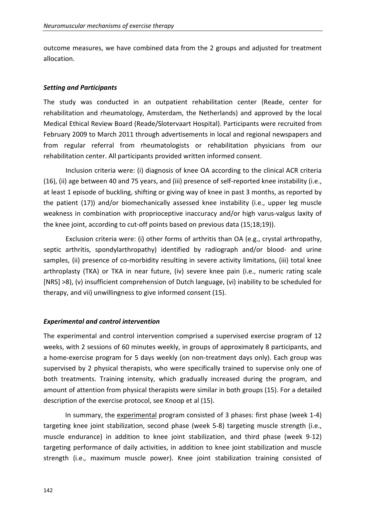outcome measures, we have combined data from the 2 groups and adjusted for treatment allocation.

### *Setting and Participants*

The study was conducted in an outpatient rehabilitation center (Reade, center for rehabilitation and rheumatology, Amsterdam, the Netherlands) and approved by the local Medical Ethical Review Board (Reade/Slotervaart Hospital). Participants were recruited from February 2009 to March 2011 through advertisements in local and regional newspapers and from regular referral from rheumatologists or rehabilitation physicians from our rehabilitation center. All participants provided written informed consent.

Inclusion criteria were: (i) diagnosis of knee OA according to the clinical ACR criteria (16), (ii) age between 40 and 75 years, and (iii) presence of self-reported knee instability (i.e., at least 1 episode of buckling, shifting or giving way of knee in past 3 months, as reported by the patient (17)) and/or biomechanically assessed knee instability (i.e., upper leg muscle weakness in combination with proprioceptive inaccuracy and/or high varus-valgus laxity of the knee joint, according to cut-off points based on previous data (15;18;19)).

Exclusion criteria were: (i) other forms of arthritis than OA (e.g., crystal arthropathy, septic arthritis, spondylarthropathy) identified by radiograph and/or blood- and urine samples, (ii) presence of co-morbidity resulting in severe activity limitations, (iii) total knee arthroplasty (TKA) or TKA in near future, (iv) severe knee pain (i.e., numeric rating scale [NRS] >8), (v) insufficient comprehension of Dutch language, (vi) inability to be scheduled for therapy, and vii) unwillingness to give informed consent (15).

#### *Experimental and control intervention*

The experimental and control intervention comprised a supervised exercise program of 12 weeks, with 2 sessions of 60 minutes weekly, in groups of approximately 8 participants, and a home-exercise program for 5 days weekly (on non-treatment days only). Each group was supervised by 2 physical therapists, who were specifically trained to supervise only one of both treatments. Training intensity, which gradually increased during the program, and amount of attention from physical therapists were similar in both groups (15). For a detailed description of the exercise protocol, see Knoop et al (15).

In summary, the experimental program consisted of 3 phases: first phase (week 1-4) targeting knee joint stabilization, second phase (week 5-8) targeting muscle strength (i.e., muscle endurance) in addition to knee joint stabilization, and third phase (week 9-12) targeting performance of daily activities, in addition to knee joint stabilization and muscle strength (i.e., maximum muscle power). Knee joint stabilization training consisted of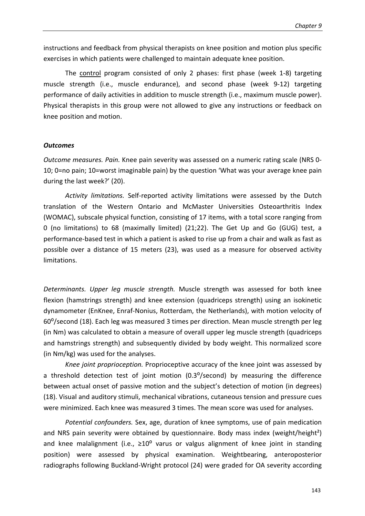instructions and feedback from physical therapists on knee position and motion plus specific exercises in which patients were challenged to maintain adequate knee position.

The control program consisted of only 2 phases: first phase (week 1-8) targeting muscle strength (i.e., muscle endurance), and second phase (week 9-12) targeting performance of daily activities in addition to muscle strength (i.e., maximum muscle power). Physical therapists in this group were not allowed to give any instructions or feedback on knee position and motion.

#### *Outcomes*

*Outcome measures. Pain.* Knee pain severity was assessed on a numeric rating scale (NRS 0- 10; 0=no pain; 10=worst imaginable pain) by the question 'What was your average knee pain during the last week?' (20).

*Activity limitations.* Self-reported activity limitations were assessed by the Dutch translation of the Western Ontario and McMaster Universities Osteoarthritis Index (WOMAC), subscale physical function, consisting of 17 items, with a total score ranging from 0 (no limitations) to 68 (maximally limited) (21;22). The Get Up and Go (GUG) test, a performance-based test in which a patient is asked to rise up from a chair and walk as fast as possible over a distance of 15 meters (23), was used as a measure for observed activity limitations.

*Determinants. Upper leg muscle strength.* Muscle strength was assessed for both knee flexion (hamstrings strength) and knee extension (quadriceps strength) using an isokinetic dynamometer (EnKnee, Enraf-Nonius, Rotterdam, the Netherlands), with motion velocity of 60⁰/second (18). Each leg was measured 3 times per direction. Mean muscle strength per leg (in Nm) was calculated to obtain a measure of overall upper leg muscle strength (quadriceps and hamstrings strength) and subsequently divided by body weight. This normalized score (in Nm/kg) was used for the analyses.

*Knee joint proprioception.* Proprioceptive accuracy of the knee joint was assessed by a threshold detection test of joint motion  $(0.3^{\circ}/\text{second})$  by measuring the difference between actual onset of passive motion and the subject's detection of motion (in degrees) (18). Visual and auditory stimuli, mechanical vibrations, cutaneous tension and pressure cues were minimized. Each knee was measured 3 times. The mean score was used for analyses.

*Potential confounders.* Sex, age, duration of knee symptoms, use of pain medication and NRS pain severity were obtained by questionnaire. Body mass index (weight/height<sup>2</sup>) and knee malalignment (i.e.,  $\geq 10^{\circ}$  varus or valgus alignment of knee joint in standing position) were assessed by physical examination. Weightbearing, anteroposterior radiographs following Buckland-Wright protocol (24) were graded for OA severity according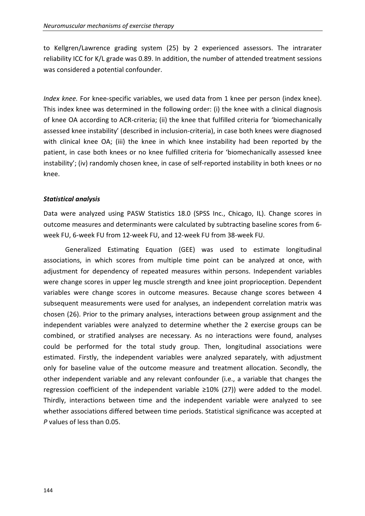to Kellgren/Lawrence grading system (25) by 2 experienced assessors. The intrarater reliability ICC for K/L grade was 0.89. In addition, the number of attended treatment sessions was considered a potential confounder.

*Index knee.* For knee-specific variables, we used data from 1 knee per person (index knee). This index knee was determined in the following order: (i) the knee with a clinical diagnosis of knee OA according to ACR-criteria; (ii) the knee that fulfilled criteria for 'biomechanically assessed knee instability' (described in inclusion-criteria), in case both knees were diagnosed with clinical knee OA; (iii) the knee in which knee instability had been reported by the patient, in case both knees or no knee fulfilled criteria for 'biomechanically assessed knee instability'; (iv) randomly chosen knee, in case of self-reported instability in both knees or no knee.

# *Statistical analysis*

Data were analyzed using PASW Statistics 18.0 (SPSS Inc., Chicago, IL). Change scores in outcome measures and determinants were calculated by subtracting baseline scores from 6 week FU, 6-week FU from 12-week FU, and 12-week FU from 38-week FU.

Generalized Estimating Equation (GEE) was used to estimate longitudinal associations, in which scores from multiple time point can be analyzed at once, with adjustment for dependency of repeated measures within persons. Independent variables were change scores in upper leg muscle strength and knee joint proprioception. Dependent variables were change scores in outcome measures. Because change scores between 4 subsequent measurements were used for analyses, an independent correlation matrix was chosen (26). Prior to the primary analyses, interactions between group assignment and the independent variables were analyzed to determine whether the 2 exercise groups can be combined, or stratified analyses are necessary. As no interactions were found, analyses could be performed for the total study group. Then, longitudinal associations were estimated. Firstly, the independent variables were analyzed separately, with adjustment only for baseline value of the outcome measure and treatment allocation. Secondly, the other independent variable and any relevant confounder (i.e., a variable that changes the regression coefficient of the independent variable ≥10% (27)) were added to the model. Thirdly, interactions between time and the independent variable were analyzed to see whether associations differed between time periods. Statistical significance was accepted at *P* values of less than 0.05.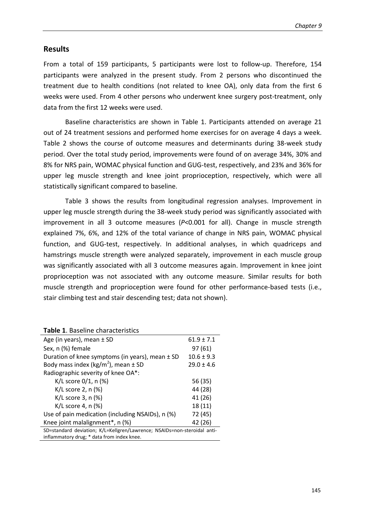# **Results**

From a total of 159 participants, 5 participants were lost to follow-up. Therefore, 154 participants were analyzed in the present study. From 2 persons who discontinued the treatment due to health conditions (not related to knee OA), only data from the first 6 weeks were used. From 4 other persons who underwent knee surgery post-treatment, only data from the first 12 weeks were used.

Baseline characteristics are shown in Table 1. Participants attended on average 21 out of 24 treatment sessions and performed home exercises for on average 4 days a week. Table 2 shows the course of outcome measures and determinants during 38-week study period. Over the total study period, improvements were found of on average 34%, 30% and 8% for NRS pain, WOMAC physical function and GUG-test, respectively, and 23% and 36% for upper leg muscle strength and knee joint proprioception, respectively, which were all statistically significant compared to baseline.

Table 3 shows the results from longitudinal regression analyses. Improvement in upper leg muscle strength during the 38-week study period was significantly associated with improvement in all 3 outcome measures (*P*<0.001 for all). Change in muscle strength explained 7%, 6%, and 12% of the total variance of change in NRS pain, WOMAC physical function, and GUG-test, respectively. In additional analyses, in which quadriceps and hamstrings muscle strength were analyzed separately, improvement in each muscle group was significantly associated with all 3 outcome measures again. Improvement in knee joint proprioception was not associated with any outcome measure. Similar results for both muscle strength and proprioception were found for other performance-based tests (i.e., stair climbing test and stair descending test; data not shown).

| <b>Table 1.</b> Dascille Characteristics                                 |                |  |  |  |
|--------------------------------------------------------------------------|----------------|--|--|--|
| Age (in years), mean $\pm$ SD                                            | $61.9 \pm 7.1$ |  |  |  |
| Sex, n (%) female                                                        | 97(61)         |  |  |  |
| Duration of knee symptoms (in years), mean $\pm$ SD                      | $10.6 \pm 9.3$ |  |  |  |
| Body mass index (kg/m <sup>2</sup> ), mean $\pm$ SD                      | $29.0 \pm 4.6$ |  |  |  |
| Radiographic severity of knee OA*:                                       |                |  |  |  |
| K/L score $0/1$ , n $(\%)$                                               | 56 (35)        |  |  |  |
| K/L score 2, $n$ (%)                                                     | 44 (28)        |  |  |  |
| $K/L$ score 3, n $(\%)$                                                  | 41 (26)        |  |  |  |
| $K/L$ score 4, n $(\%)$                                                  | 18 (11)        |  |  |  |
| Use of pain medication (including NSAIDs), n (%)                         | 72 (45)        |  |  |  |
| Knee joint malalignment*, n (%)                                          | 42 (26)        |  |  |  |
| SD=standard deviation; K/L=Kellgren/Lawrence; NSAIDs=non-steroidal anti- |                |  |  |  |
| inflammatory drug; * data from index knee.                               |                |  |  |  |

#### **Table 1. Baseline characteristics**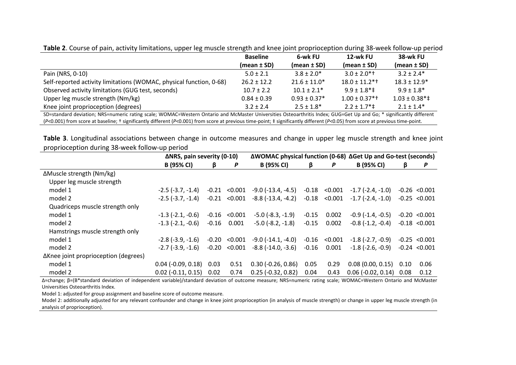|                                                                     | <b>Baseline</b> | 6-wk FU          | 12-wk FU                         | 38-wk FU                                |
|---------------------------------------------------------------------|-----------------|------------------|----------------------------------|-----------------------------------------|
|                                                                     | $(mean \pm SD)$ | $(mean \pm SD)$  | $(mean \pm SD)$                  | $(mean \pm SD)$                         |
| Pain (NRS, 0-10)                                                    | $5.0 \pm 2.1$   | $3.8 + 2.0*$     | $3.0 \pm 2.0$ *†                 | $3.2 \pm 2.4*$                          |
| Self-reported activity limitations (WOMAC, physical function, 0-68) | $26.2 + 12.2$   | $21.6 \pm 11.0*$ | $18.0 \pm 11.2$ *†               | $18.3 + 12.9*$                          |
| Observed activity limitations (GUG test, seconds)                   | $10.7 \pm 2.2$  | $10.1 \pm 2.1^*$ | $9.9 + 1.8^{*}$                  | $9.9 + 1.8*$                            |
| Upper leg muscle strength (Nm/kg)                                   | $0.84 \pm 0.39$ | $0.93 \pm 0.37*$ | $1.00 \pm 0.37$ <sup>*+</sup>    | $1.03 \pm 0.38$ <sup>*</sup> $\ddagger$ |
| Knee joint proprioception (degrees)                                 | $3.2 \pm 2.4$   | $2.5 \pm 1.8^*$  | $2.2 \pm 1.7$ <sup>*</sup> $\pm$ | $2.1 \pm 1.4*$                          |

**Table 2**. Course of pain, activity limitations, upper leg muscle strength and knee joint proprioception during 38-week follow-up period

SD=standard deviation; NRS=numeric rating scale; WOMAC=Western Ontario and McMaster Universities Osteoarthritis Index; GUG=Get Up and Go; \* significantly different (*P*<0.001) from score at baseline; † significantly different (*P*<0.001) from score at previous time-point; ‡ significantly different (*P*<0.05) from score at previous time-point.

**Table 3**. Longitudinal associations between change in outcome measures and change in upper leg muscle strength and knee joint proprioception during 38-week follow-up period

|                                      | ΔNRS, pain severity (0-10) |         | ΔWOMAC physical function (0-68) ΔGet Up and Go-test (seconds) |                             |         |                   |                            |      |                   |
|--------------------------------------|----------------------------|---------|---------------------------------------------------------------|-----------------------------|---------|-------------------|----------------------------|------|-------------------|
|                                      | <b>B</b> (95% CI)          | ß       | P                                                             | <b>B</b> (95% CI)           | ß       | P                 | <b>B</b> (95% CI)          | B    | P                 |
| ΔMuscle strength (Nm/kg)             |                            |         |                                                               |                             |         |                   |                            |      |                   |
| Upper leg muscle strength            |                            |         |                                                               |                             |         |                   |                            |      |                   |
| model 1                              | $-2.5$ ( $-3.7, -1.4$ )    | $-0.21$ | < 0.001                                                       | -9.0 (-13.4, -4.5)          |         | $-0.18$ < $0.001$ | $-1.7$ (-2.4, -1.0)        |      | $-0.26$ <0.001    |
| model 2                              | $-2.5$ ( $-3.7, -1.4$ )    | $-0.21$ | < 0.001                                                       | $-8.8$ ( $-13.4$ , $-4.2$ ) |         | $-0.18$ < $0.001$ | $-1.7$ ( $-2.4$ , $-1.0$ ) |      | $-0.25 < 0.001$   |
| Quadriceps muscle strength only      |                            |         |                                                               |                             |         |                   |                            |      |                   |
| model 1                              | $-1.3$ ( $-2.1$ , $-0.6$ ) |         | $-0.16$ < $0.001$                                             | $-5.0$ ( $-8.3, -1.9$ )     | $-0.15$ | 0.002             | $-0.9$ ( $-1.4$ , $-0.5$ ) |      | $-0.20 < 0.001$   |
| model 2                              | $-1.3$ $(-2.1, -0.6)$      | $-0.16$ | 0.001                                                         | $-5.0$ ( $-8.2, -1.8$ )     | $-0.15$ | 0.002             | $-0.8$ ( $-1.2, -0.4$ )    |      | $-0.18$ < $0.001$ |
| Hamstrings muscle strength only      |                            |         |                                                               |                             |         |                   |                            |      |                   |
| model 1                              | $-2.8$ ( $-3.9$ , $-1.6$ ) | -0.20   | < 0.001                                                       | -9.0 (-14.1, -4.0)          |         | $-0.16$ < $0.001$ | $-1.8$ ( $-2.7, -0.9$ )    |      | $-0.25 < 0.001$   |
| model 2                              | $-2.7$ ( $-3.9$ , $-1.6$ ) |         | $-0.20 < 0.001$                                               | $-8.8$ ( $-14.0, -3.6$ )    | $-0.16$ | 0.001             | $-1.8$ ( $-2.6$ , $-0.9$ ) |      | $-0.24$ < $0.001$ |
| ΔKnee joint proprioception (degrees) |                            |         |                                                               |                             |         |                   |                            |      |                   |
| model 1                              | $0.04$ (-0.09, 0.18)       | 0.03    | 0.51                                                          | $0.30$ (-0.26, 0.86)        | 0.05    | 0.29              | 0.08(0.00, 0.15)           | 0.10 | 0.06              |
| model 2                              | $0.02$ (-0.11, 0.15) 0.02  |         | 0.74                                                          | $0.25$ (-0.32, 0.82)        | 0.04    | 0.43              | $0.06$ (-0.02, 0.14)       | 0.08 | 0.12              |

 ∆=change; β=(B\*standard deviation of independent variable)/standard deviation of outcome measure; NRS=numeric rating scale; WOMAC=Western Ontario and McMaster Universities Osteoarthritis Index.

Model 1: adjusted for group assignment and baseline score of outcome measure.

 Model 2: additionally adjusted for any relevant confounder and change in knee joint proprioception (in analysis of muscle strength) or change in upper leg muscle strength (in analysis of proprioception).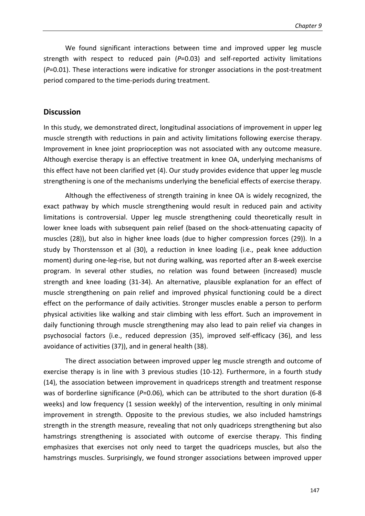We found significant interactions between time and improved upper leg muscle strength with respect to reduced pain (*P*=0.03) and self-reported activity limitations (*P*=0.01). These interactions were indicative for stronger associations in the post-treatment period compared to the time-periods during treatment.

# **Discussion**

In this study, we demonstrated direct, longitudinal associations of improvement in upper leg muscle strength with reductions in pain and activity limitations following exercise therapy. Improvement in knee joint proprioception was not associated with any outcome measure. Although exercise therapy is an effective treatment in knee OA, underlying mechanisms of this effect have not been clarified yet (4). Our study provides evidence that upper leg muscle strengthening is one of the mechanisms underlying the beneficial effects of exercise therapy.

Although the effectiveness of strength training in knee OA is widely recognized, the exact pathway by which muscle strengthening would result in reduced pain and activity limitations is controversial. Upper leg muscle strengthening could theoretically result in lower knee loads with subsequent pain relief (based on the shock-attenuating capacity of muscles (28)), but also in higher knee loads (due to higher compression forces (29)). In a study by Thorstensson et al (30), a reduction in knee loading (i.e., peak knee adduction moment) during one-leg-rise, but not during walking, was reported after an 8-week exercise program. In several other studies, no relation was found between (increased) muscle strength and knee loading (31-34). An alternative, plausible explanation for an effect of muscle strengthening on pain relief and improved physical functioning could be a direct effect on the performance of daily activities. Stronger muscles enable a person to perform physical activities like walking and stair climbing with less effort. Such an improvement in daily functioning through muscle strengthening may also lead to pain relief via changes in psychosocial factors (i.e., reduced depression (35), improved self-efficacy (36), and less avoidance of activities (37)), and in general health (38).

The direct association between improved upper leg muscle strength and outcome of exercise therapy is in line with 3 previous studies (10-12). Furthermore, in a fourth study (14), the association between improvement in quadriceps strength and treatment response was of borderline significance (P=0.06), which can be attributed to the short duration (6-8 weeks) and low frequency (1 session weekly) of the intervention, resulting in only minimal improvement in strength. Opposite to the previous studies, we also included hamstrings strength in the strength measure, revealing that not only quadriceps strengthening but also hamstrings strengthening is associated with outcome of exercise therapy. This finding emphasizes that exercises not only need to target the quadriceps muscles, but also the hamstrings muscles. Surprisingly, we found stronger associations between improved upper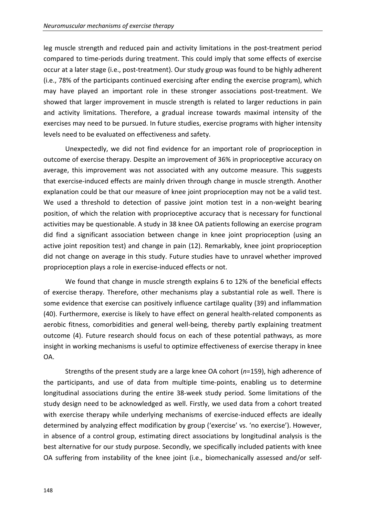leg muscle strength and reduced pain and activity limitations in the post-treatment period compared to time-periods during treatment. This could imply that some effects of exercise occur at a later stage (i.e., post-treatment). Our study group was found to be highly adherent (i.e., 78% of the participants continued exercising after ending the exercise program), which may have played an important role in these stronger associations post-treatment. We showed that larger improvement in muscle strength is related to larger reductions in pain and activity limitations. Therefore, a gradual increase towards maximal intensity of the exercises may need to be pursued. In future studies, exercise programs with higher intensity levels need to be evaluated on effectiveness and safety.

 Unexpectedly, we did not find evidence for an important role of proprioception in outcome of exercise therapy. Despite an improvement of 36% in proprioceptive accuracy on average, this improvement was not associated with any outcome measure. This suggests that exercise-induced effects are mainly driven through change in muscle strength. Another explanation could be that our measure of knee joint proprioception may not be a valid test. We used a threshold to detection of passive joint motion test in a non-weight bearing position, of which the relation with proprioceptive accuracy that is necessary for functional activities may be questionable. A study in 38 knee OA patients following an exercise program did find a significant association between change in knee joint proprioception (using an active joint reposition test) and change in pain (12). Remarkably, knee joint proprioception did not change on average in this study. Future studies have to unravel whether improved proprioception plays a role in exercise-induced effects or not.

 We found that change in muscle strength explains 6 to 12% of the beneficial effects of exercise therapy. Therefore, other mechanisms play a substantial role as well. There is some evidence that exercise can positively influence cartilage quality (39) and inflammation (40). Furthermore, exercise is likely to have effect on general health-related components as aerobic fitness, comorbidities and general well-being, thereby partly explaining treatment outcome (4). Future research should focus on each of these potential pathways, as more insight in working mechanisms is useful to optimize effectiveness of exercise therapy in knee OA.

Strengths of the present study are a large knee OA cohort (*n*=159), high adherence of the participants, and use of data from multiple time-points, enabling us to determine longitudinal associations during the entire 38-week study period. Some limitations of the study design need to be acknowledged as well. Firstly, we used data from a cohort treated with exercise therapy while underlying mechanisms of exercise-induced effects are ideally determined by analyzing effect modification by group ('exercise' vs. 'no exercise'). However, in absence of a control group, estimating direct associations by longitudinal analysis is the best alternative for our study purpose. Secondly, we specifically included patients with knee OA suffering from instability of the knee joint (i.e., biomechanically assessed and/or self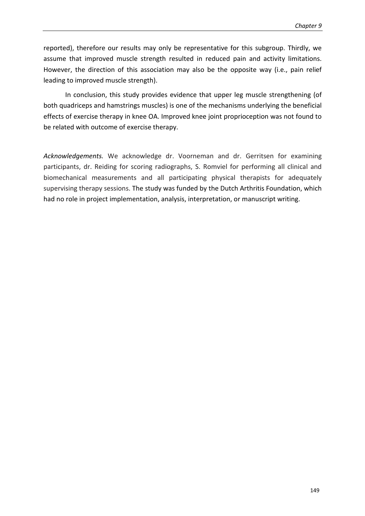reported), therefore our results may only be representative for this subgroup. Thirdly, we assume that improved muscle strength resulted in reduced pain and activity limitations. However, the direction of this association may also be the opposite way (i.e., pain relief leading to improved muscle strength).

In conclusion, this study provides evidence that upper leg muscle strengthening (of both quadriceps and hamstrings muscles) is one of the mechanisms underlying the beneficial effects of exercise therapy in knee OA. Improved knee joint proprioception was not found to be related with outcome of exercise therapy.

*Acknowledgements.* We acknowledge dr. Voorneman and dr. Gerritsen for examining participants, dr. Reiding for scoring radiographs, S. Romviel for performing all clinical and biomechanical measurements and all participating physical therapists for adequately supervising therapy sessions. The study was funded by the Dutch Arthritis Foundation, which had no role in project implementation, analysis, interpretation, or manuscript writing.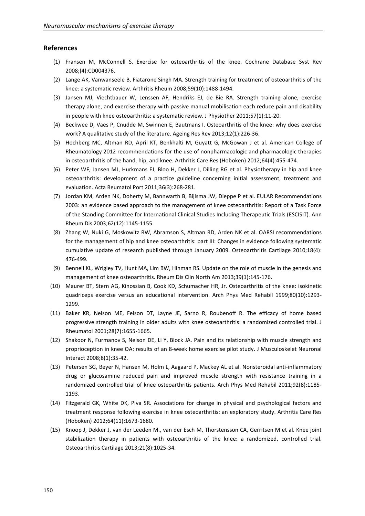#### **References**

- (1) Fransen M, McConnell S. Exercise for osteoarthritis of the knee. Cochrane Database Syst Rev 2008;(4):CD004376.
- (2) Lange AK, Vanwanseele B, Fiatarone Singh MA. Strength training for treatment of osteoarthritis of the knee: a systematic review. Arthritis Rheum 2008;59(10):1488-1494.
- (3) Jansen MJ, Viechtbauer W, Lenssen AF, Hendriks EJ, de Bie RA. Strength training alone, exercise therapy alone, and exercise therapy with passive manual mobilisation each reduce pain and disability in people with knee osteoarthritis: a systematic review. J Physiother 2011;57(1):11-20.
- (4) Beckwee D, Vaes P, Cnudde M, Swinnen E, Bautmans I. Osteoarthritis of the knee: why does exercise work? A qualitative study of the literature. Ageing Res Rev 2013;12(1):226-36.
- (5) Hochberg MC, Altman RD, April KT, Benkhalti M, Guyatt G, McGowan J et al. American College of Rheumatology 2012 recommendations for the use of nonpharmacologic and pharmacologic therapies in osteoarthritis of the hand, hip, and knee. Arthritis Care Res (Hoboken) 2012;64(4):455-474.
- (6) Peter WF, Jansen MJ, Hurkmans EJ, Bloo H, Dekker J, Dilling RG et al. Physiotherapy in hip and knee osteoarthritis: development of a practice guideline concerning initial assessment, treatment and evaluation. Acta Reumatol Port 2011;36(3):268-281.
- (7) Jordan KM, Arden NK, Doherty M, Bannwarth B, Bijlsma JW, Dieppe P et al. EULAR Recommendations 2003: an evidence based approach to the management of knee osteoarthritis: Report of a Task Force of the Standing Committee for International Clinical Studies Including Therapeutic Trials (ESCISIT). Ann Rheum Dis 2003;62(12):1145-1155.
- (8) Zhang W, Nuki G, Moskowitz RW, Abramson S, Altman RD, Arden NK et al. OARSI recommendations for the management of hip and knee osteoarthritis: part III: Changes in evidence following systematic cumulative update of research published through January 2009. Osteoarthritis Cartilage 2010;18(4): 476-499.
- (9) Bennell KL, Wrigley TV, Hunt MA, Lim BW, Hinman RS. Update on the role of muscle in the genesis and management of knee osteoarthritis. Rheum Dis Clin North Am 2013;39(1):145-176.
- (10) Maurer BT, Stern AG, Kinossian B, Cook KD, Schumacher HR, Jr. Osteoarthritis of the knee: isokinetic quadriceps exercise versus an educational intervention. Arch Phys Med Rehabil 1999;80(10):1293- 1299.
- (11) Baker KR, Nelson ME, Felson DT, Layne JE, Sarno R, Roubenoff R. The efficacy of home based progressive strength training in older adults with knee osteoarthritis: a randomized controlled trial. J Rheumatol 2001;28(7):1655-1665.
- (12) Shakoor N, Furmanov S, Nelson DE, Li Y, Block JA. Pain and its relationship with muscle strength and proprioception in knee OA: results of an 8-week home exercise pilot study. J Musculoskelet Neuronal Interact 2008;8(1):35-42.
- (13) Petersen SG, Beyer N, Hansen M, Holm L, Aagaard P, Mackey AL et al. Nonsteroidal anti-inflammatory drug or glucosamine reduced pain and improved muscle strength with resistance training in a randomized controlled trial of knee osteoarthritis patients. Arch Phys Med Rehabil 2011;92(8):1185- 1193.
- (14) Fitzgerald GK, White DK, Piva SR. Associations for change in physical and psychological factors and treatment response following exercise in knee osteoarthritis: an exploratory study. Arthritis Care Res (Hoboken) 2012;64(11):1673-1680.
- (15) Knoop J, Dekker J, van der Leeden M., van der Esch M, Thorstensson CA, Gerritsen M et al. Knee joint stabilization therapy in patients with osteoarthritis of the knee: a randomized, controlled trial. Osteoarthritis Cartilage 2013;21(8):1025-34.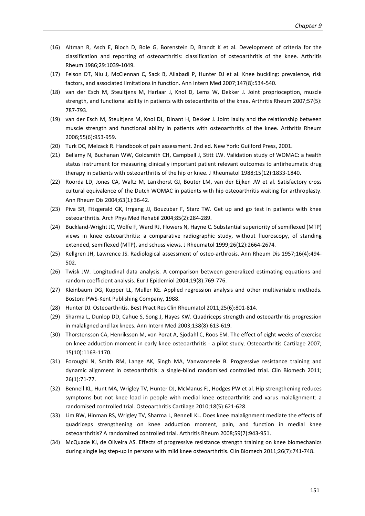- (16) Altman R, Asch E, Bloch D, Bole G, Borenstein D, Brandt K et al. Development of criteria for the classification and reporting of osteoarthritis: classification of osteoarthritis of the knee. Arthritis Rheum 1986;29:1039-1049.
- (17) Felson DT, Niu J, McClennan C, Sack B, Aliabadi P, Hunter DJ et al. Knee buckling: prevalence, risk factors, and associated limitations in function. Ann Intern Med 2007;147(8):534-540.
- (18) van der Esch M, Steultjens M, Harlaar J, Knol D, Lems W, Dekker J. Joint proprioception, muscle strength, and functional ability in patients with osteoarthritis of the knee. Arthritis Rheum 2007;57(5): 787-793.
- (19) van der Esch M, Steultjens M, Knol DL, Dinant H, Dekker J. Joint laxity and the relationship between muscle strength and functional ability in patients with osteoarthritis of the knee. Arthritis Rheum 2006;55(6):953-959.
- (20) Turk DC, Melzack R. Handbook of pain assessment. 2nd ed. New York: Guilford Press, 2001.
- (21) Bellamy N, Buchanan WW, Goldsmith CH, Campbell J, Stitt LW. Validation study of WOMAC: a health status instrument for measuring clinically important patient relevant outcomes to antirheumatic drug therapy in patients with osteoarthritis of the hip or knee. J Rheumatol 1988;15(12):1833-1840.
- (22) Roorda LD, Jones CA, Waltz M, Lankhorst GJ, Bouter LM, van der Eijken JW et al. Satisfactory cross cultural equivalence of the Dutch WOMAC in patients with hip osteoarthritis waiting for arthroplasty. Ann Rheum Dis 2004;63(1):36-42.
- (23) Piva SR, Fitzgerald GK, Irrgang JJ, Bouzubar F, Starz TW. Get up and go test in patients with knee osteoarthritis. Arch Phys Med Rehabil 2004;85(2):284-289.
- (24) Buckland-Wright JC, Wolfe F, Ward RJ, Flowers N, Hayne C. Substantial superiority of semiflexed (MTP) views in knee osteoarthritis: a comparative radiographic study, without fluoroscopy, of standing extended, semiflexed (MTP), and schuss views. J Rheumatol 1999;26(12):2664-2674.
- (25) Kellgren JH, Lawrence JS. Radiological assessment of osteo-arthrosis. Ann Rheum Dis 1957;16(4):494- 502.
- (26) Twisk JW. Longitudinal data analysis. A comparison between generalized estimating equations and random coefficient analysis. Eur J Epidemiol 2004;19(8):769-776.
- (27) Kleinbaum DG, Kupper LL, Muller KE. Applied regression analysis and other multivariable methods. Boston: PWS-Kent Publishing Company, 1988.
- (28) Hunter DJ. Osteoarthritis. Best Pract Res Clin Rheumatol 2011;25(6):801-814.
- (29) Sharma L, Dunlop DD, Cahue S, Song J, Hayes KW. Quadriceps strength and osteoarthritis progression in malaligned and lax knees. Ann Intern Med 2003;138(8):613-619.
- (30) Thorstensson CA, Henriksson M, von Porat A, Sjodahl C, Roos EM. The effect of eight weeks of exercise on knee adduction moment in early knee osteoarthritis - a pilot study. Osteoarthritis Cartilage 2007; 15(10):1163-1170.
- (31) Foroughi N, Smith RM, Lange AK, Singh MA, Vanwanseele B. Progressive resistance training and dynamic alignment in osteoarthritis: a single-blind randomised controlled trial. Clin Biomech 2011; 26(1):71-77.
- (32) Bennell KL, Hunt MA, Wrigley TV, Hunter DJ, McManus FJ, Hodges PW et al. Hip strengthening reduces symptoms but not knee load in people with medial knee osteoarthritis and varus malalignment: a randomised controlled trial. Osteoarthritis Cartilage 2010;18(5):621-628.
- (33) Lim BW, Hinman RS, Wrigley TV, Sharma L, Bennell KL. Does knee malalignment mediate the effects of quadriceps strengthening on knee adduction moment, pain, and function in medial knee osteoarthritis? A randomized controlled trial. Arthritis Rheum 2008;59(7):943-951.
- (34) McQuade KJ, de Oliveira AS. Effects of progressive resistance strength training on knee biomechanics during single leg step-up in persons with mild knee osteoarthritis. Clin Biomech 2011;26(7):741-748.